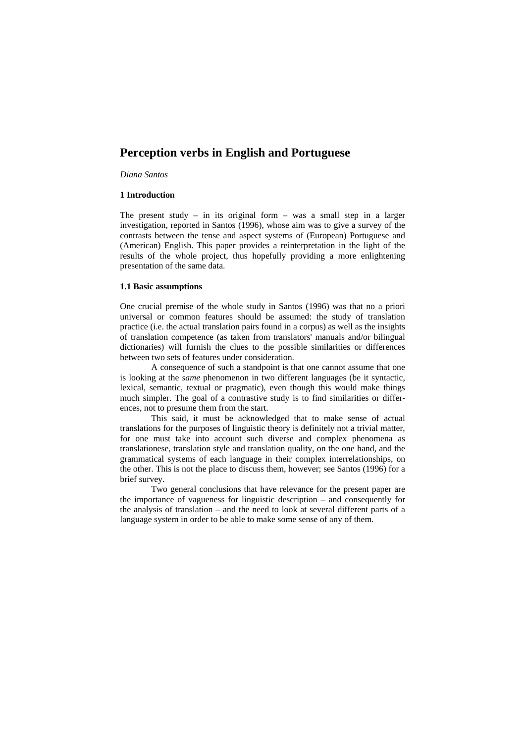# **Perception verbs in English and Portuguese**

*Diana Santos* 

#### **1 Introduction**

The present study – in its original form – was a small step in a larger investigation, reported in Santos (1996), whose aim was to give a survey of the contrasts between the tense and aspect systems of (European) Portuguese and (American) English. This paper provides a reinterpretation in the light of the results of the whole project, thus hopefully providing a more enlightening presentation of the same data.

#### **1.1 Basic assumptions**

One crucial premise of the whole study in Santos (1996) was that no a priori universal or common features should be assumed: the study of translation practice (i.e. the actual translation pairs found in a corpus) as well as the insights of translation competence (as taken from translators' manuals and/or bilingual dictionaries) will furnish the clues to the possible similarities or differences between two sets of features under consideration.

A consequence of such a standpoint is that one cannot assume that one is looking at the *same* phenomenon in two different languages (be it syntactic, lexical, semantic, textual or pragmatic), even though this would make things much simpler. The goal of a contrastive study is to find similarities or differences, not to presume them from the start.

This said, it must be acknowledged that to make sense of actual translations for the purposes of linguistic theory is definitely not a trivial matter, for one must take into account such diverse and complex phenomena as translationese, translation style and translation quality, on the one hand, and the grammatical systems of each language in their complex interrelationships, on the other. This is not the place to discuss them, however; see Santos (1996) for a brief survey.

Two general conclusions that have relevance for the present paper are the importance of vagueness for linguistic description – and consequently for the analysis of translation – and the need to look at several different parts of a language system in order to be able to make some sense of any of them.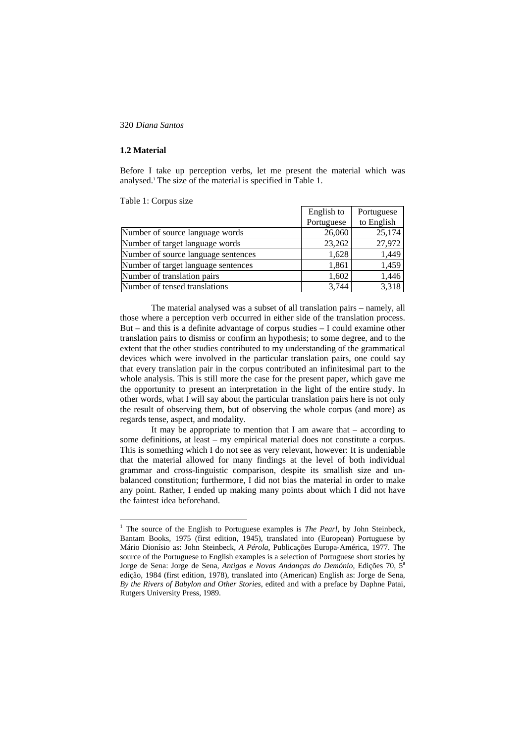### **1.2 Material**

 $\overline{a}$ 

Before I take up perception verbs, let me present the material which was analysed.1 The size of the material is specified in Table 1.

Table 1: Corpus size

|                                     | English to | Portuguese |
|-------------------------------------|------------|------------|
|                                     | Portuguese | to English |
| Number of source language words     | 26,060     | 25,174     |
| Number of target language words     | 23,262     | 27,972     |
| Number of source language sentences | 1,628      | 1,449      |
| Number of target language sentences | 1,861      | 1,459      |
| Number of translation pairs         | 1,602      | 1,446      |
| Number of tensed translations       | 3.744      | 3,318      |

The material analysed was a subset of all translation pairs – namely, all those where a perception verb occurred in either side of the translation process. But – and this is a definite advantage of corpus studies  $-$  I could examine other translation pairs to dismiss or confirm an hypothesis; to some degree, and to the extent that the other studies contributed to my understanding of the grammatical devices which were involved in the particular translation pairs, one could say that every translation pair in the corpus contributed an infinitesimal part to the whole analysis. This is still more the case for the present paper, which gave me the opportunity to present an interpretation in the light of the entire study. In other words, what I will say about the particular translation pairs here is not only the result of observing them, but of observing the whole corpus (and more) as regards tense, aspect, and modality.

It may be appropriate to mention that I am aware that  $-$  according to some definitions, at least – my empirical material does not constitute a corpus. This is something which I do not see as very relevant, however: It is undeniable that the material allowed for many findings at the level of both individual grammar and cross-linguistic comparison, despite its smallish size and unbalanced constitution; furthermore, I did not bias the material in order to make any point. Rather, I ended up making many points about which I did not have the faintest idea beforehand.

<sup>&</sup>lt;sup>1</sup> The source of the English to Portuguese examples is *The Pearl*, by John Steinbeck, Bantam Books, 1975 (first edition, 1945), translated into (European) Portuguese by Mário Dionísio as: John Steinbeck, *A Pérola*, Publicações Europa-América, 1977. The source of the Portuguese to English examples is a selection of Portuguese short stories by Jorge de Sena: Jorge de Sena, *Antigas e Novas Andanças do Demónio*, Edições 70, 5<sup>a</sup> edição, 1984 (first edition, 1978), translated into (American) English as: Jorge de Sena, *By the Rivers of Babylon and Other Stories*, edited and with a preface by Daphne Patai, Rutgers University Press, 1989.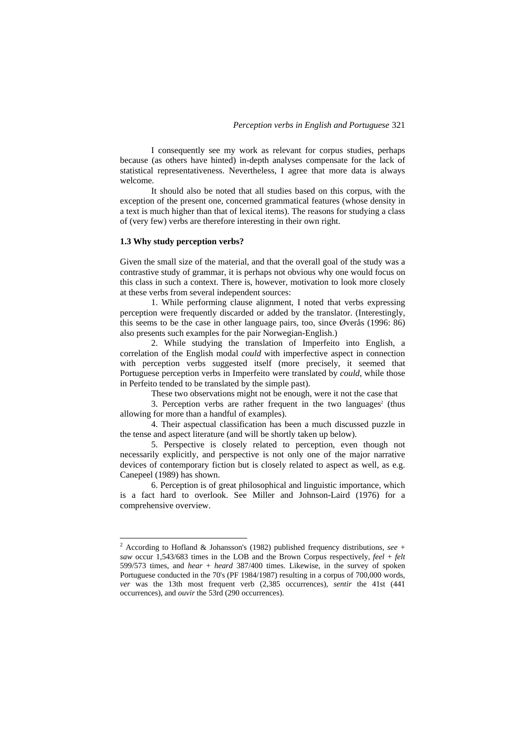I consequently see my work as relevant for corpus studies, perhaps because (as others have hinted) in-depth analyses compensate for the lack of statistical representativeness. Nevertheless, I agree that more data is always welcome.

It should also be noted that all studies based on this corpus, with the exception of the present one, concerned grammatical features (whose density in a text is much higher than that of lexical items). The reasons for studying a class of (very few) verbs are therefore interesting in their own right.

#### **1.3 Why study perception verbs?**

Given the small size of the material, and that the overall goal of the study was a contrastive study of grammar, it is perhaps not obvious why one would focus on this class in such a context. There is, however, motivation to look more closely at these verbs from several independent sources:

1. While performing clause alignment, I noted that verbs expressing perception were frequently discarded or added by the translator. (Interestingly, this seems to be the case in other language pairs, too, since Øverås (1996: 86) also presents such examples for the pair Norwegian-English.)

2. While studying the translation of Imperfeito into English, a correlation of the English modal *could* with imperfective aspect in connection with perception verbs suggested itself (more precisely, it seemed that Portuguese perception verbs in Imperfeito were translated by *could*, while those in Perfeito tended to be translated by the simple past).

These two observations might not be enough, were it not the case that

3. Perception verbs are rather frequent in the two languages<sup>2</sup> (thus allowing for more than a handful of examples).

4. Their aspectual classification has been a much discussed puzzle in the tense and aspect literature (and will be shortly taken up below).

5. Perspective is closely related to perception, even though not necessarily explicitly, and perspective is not only one of the major narrative devices of contemporary fiction but is closely related to aspect as well, as e.g. Canepeel (1989) has shown.

6. Perception is of great philosophical and linguistic importance, which is a fact hard to overlook. See Miller and Johnson-Laird (1976) for a comprehensive overview.

 2 According to Hofland & Johansson's (1982) published frequency distributions, *see* + *saw* occur 1,543/683 times in the LOB and the Brown Corpus respectively, *feel* + *felt* 599/573 times, and *hear* + *heard* 387/400 times. Likewise, in the survey of spoken Portuguese conducted in the 70's (PF 1984/1987) resulting in a corpus of 700,000 words, *ver* was the 13th most frequent verb (2,385 occurrences), *sentir* the 41st (441 occurrences), and *ouvir* the 53rd (290 occurrences).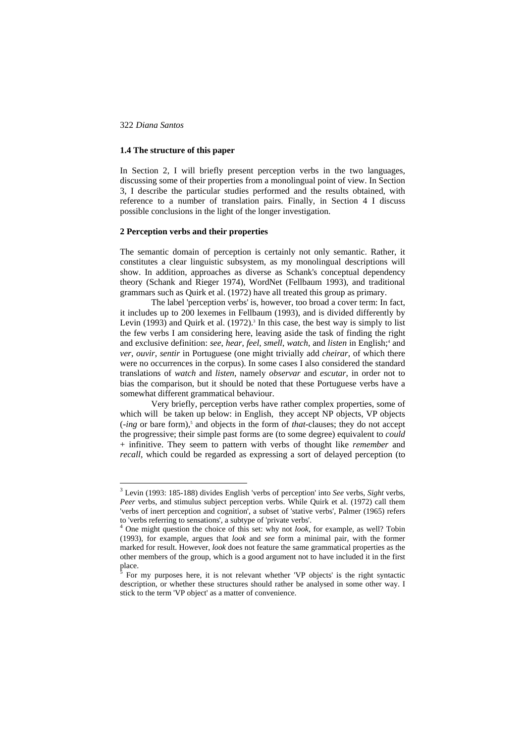$\overline{a}$ 

# **1.4 The structure of this paper**

In Section 2, I will briefly present perception verbs in the two languages, discussing some of their properties from a monolingual point of view. In Section 3, I describe the particular studies performed and the results obtained, with reference to a number of translation pairs. Finally, in Section 4 I discuss possible conclusions in the light of the longer investigation.

# **2 Perception verbs and their properties**

The semantic domain of perception is certainly not only semantic. Rather, it constitutes a clear linguistic subsystem, as my monolingual descriptions will show. In addition, approaches as diverse as Schank's conceptual dependency theory (Schank and Rieger 1974), WordNet (Fellbaum 1993), and traditional grammars such as Quirk et al. (1972) have all treated this group as primary.

The label 'perception verbs' is, however, too broad a cover term: In fact, it includes up to 200 lexemes in Fellbaum (1993), and is divided differently by Levin (1993) and Quirk et al.  $(1972)$ .<sup>3</sup> In this case, the best way is simply to list the few verbs I am considering here, leaving aside the task of finding the right and exclusive definition: see, hear, feel, smell, watch, and listen in English;<sup>4</sup> and *ver*, *ouvir*, *sentir* in Portuguese (one might trivially add *cheirar*, of which there were no occurrences in the corpus). In some cases I also considered the standard translations of *watch* and *listen*, namely *observar* and *escutar*, in order not to bias the comparison, but it should be noted that these Portuguese verbs have a somewhat different grammatical behaviour.

Very briefly, perception verbs have rather complex properties, some of which will be taken up below: in English, they accept NP objects, VP objects (-*ing* or bare form),<sup>5</sup> and objects in the form of *that*-clauses; they do not accept the progressive; their simple past forms are (to some degree) equivalent to *could* + infinitive. They seem to pattern with verbs of thought like *remember* and *recall*, which could be regarded as expressing a sort of delayed perception (to

<sup>3</sup> Levin (1993: 185-188) divides English 'verbs of perception' into *See* verbs, *Sight* verbs, *Peer* verbs, and stimulus subject perception verbs. While Quirk et al. (1972) call them 'verbs of inert perception and cognition', a subset of 'stative verbs', Palmer (1965) refers to 'verbs referring to sensations', a subtype of 'private verbs'. 4

One might question the choice of this set: why not *look*, for example, as well? Tobin (1993), for example, argues that *look* and *see* form a minimal pair, with the former marked for result. However, *look* does not feature the same grammatical properties as the other members of the group, which is a good argument not to have included it in the first place.<br><sup>5</sup> E<sub>or</sub>

For my purposes here, it is not relevant whether 'VP objects' is the right syntactic description, or whether these structures should rather be analysed in some other way. I stick to the term 'VP object' as a matter of convenience.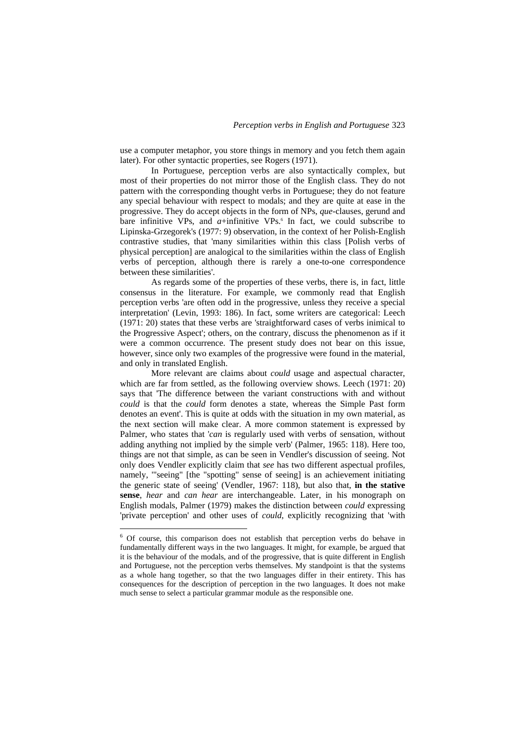use a computer metaphor, you store things in memory and you fetch them again later). For other syntactic properties, see Rogers (1971).

In Portuguese, perception verbs are also syntactically complex, but most of their properties do not mirror those of the English class. They do not pattern with the corresponding thought verbs in Portuguese; they do not feature any special behaviour with respect to modals; and they are quite at ease in the progressive. They do accept objects in the form of NPs, *que*-clauses, gerund and bare infinitive VPs, and  $a$ +infinitive VPs.<sup>6</sup> In fact, we could subscribe to Lipinska-Grzegorek's (1977: 9) observation, in the context of her Polish-English contrastive studies, that 'many similarities within this class [Polish verbs of physical perception] are analogical to the similarities within the class of English verbs of perception, although there is rarely a one-to-one correspondence between these similarities'.

As regards some of the properties of these verbs, there is, in fact, little consensus in the literature. For example, we commonly read that English perception verbs 'are often odd in the progressive, unless they receive a special interpretation' (Levin, 1993: 186). In fact, some writers are categorical: Leech (1971: 20) states that these verbs are 'straightforward cases of verbs inimical to the Progressive Aspect'; others, on the contrary, discuss the phenomenon as if it were a common occurrence. The present study does not bear on this issue, however, since only two examples of the progressive were found in the material, and only in translated English.

More relevant are claims about *could* usage and aspectual character, which are far from settled, as the following overview shows. Leech (1971: 20) says that 'The difference between the variant constructions with and without *could* is that the *could* form denotes a state, whereas the Simple Past form denotes an event'. This is quite at odds with the situation in my own material, as the next section will make clear. A more common statement is expressed by Palmer, who states that '*can* is regularly used with verbs of sensation, without adding anything not implied by the simple verb' (Palmer, 1965: 118). Here too, things are not that simple, as can be seen in Vendler's discussion of seeing. Not only does Vendler explicitly claim that *see* has two different aspectual profiles, namely, '"seeing" [the "spotting" sense of seeing] is an achievement initiating the generic state of seeing' (Vendler, 1967: 118), but also that, **in the stative sense**, *hear* and *can hear* are interchangeable. Later, in his monograph on English modals, Palmer (1979) makes the distinction between *could* expressing 'private perception' and other uses of *could*, explicitly recognizing that 'with

 6 Of course, this comparison does not establish that perception verbs do behave in fundamentally different ways in the two languages. It might, for example, be argued that it is the behaviour of the modals, and of the progressive, that is quite different in English and Portuguese, not the perception verbs themselves. My standpoint is that the systems as a whole hang together, so that the two languages differ in their entirety. This has consequences for the description of perception in the two languages. It does not make much sense to select a particular grammar module as the responsible one.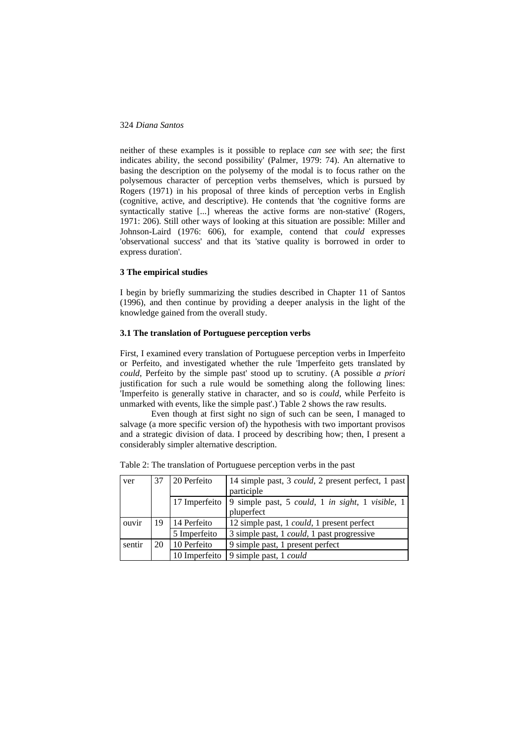neither of these examples is it possible to replace *can see* with *see*; the first indicates ability, the second possibility' (Palmer, 1979: 74). An alternative to basing the description on the polysemy of the modal is to focus rather on the polysemous character of perception verbs themselves, which is pursued by Rogers (1971) in his proposal of three kinds of perception verbs in English (cognitive, active, and descriptive). He contends that 'the cognitive forms are syntactically stative [...] whereas the active forms are non-stative' (Rogers, 1971: 206). Still other ways of looking at this situation are possible: Miller and Johnson-Laird (1976: 606), for example, contend that *could* expresses 'observational success' and that its 'stative quality is borrowed in order to express duration'.

## **3 The empirical studies**

I begin by briefly summarizing the studies described in Chapter 11 of Santos (1996), and then continue by providing a deeper analysis in the light of the knowledge gained from the overall study.

# **3.1 The translation of Portuguese perception verbs**

First, I examined every translation of Portuguese perception verbs in Imperfeito or Perfeito, and investigated whether the rule 'Imperfeito gets translated by *could*, Perfeito by the simple past' stood up to scrutiny. (A possible *a priori* justification for such a rule would be something along the following lines: 'Imperfeito is generally stative in character, and so is *could*, while Perfeito is unmarked with events, like the simple past'.) Table 2 shows the raw results.

Even though at first sight no sign of such can be seen, I managed to salvage (a more specific version of) the hypothesis with two important provisos and a strategic division of data. I proceed by describing how; then, I present a considerably simpler alternative description.

| ver    | 37 | 20 Perfeito   | 14 simple past, 3 <i>could</i> , 2 present perfect, 1 past<br>participle |  |  |  |  |
|--------|----|---------------|--------------------------------------------------------------------------|--|--|--|--|
|        |    | 17 Imperfeito | 9 simple past, 5 could, 1 in sight, 1 visible, 1<br>pluperfect           |  |  |  |  |
| ouvir  | 19 | 14 Perfeito   | 12 simple past, 1 <i>could</i> , 1 present perfect                       |  |  |  |  |
|        |    | 5 Imperfeito  | 3 simple past, 1 <i>could</i> , 1 past progressive                       |  |  |  |  |
| sentir | 20 | 10 Perfeito   | 9 simple past, 1 present perfect                                         |  |  |  |  |
|        |    | 10 Imperfeito | 9 simple past, 1 <i>could</i>                                            |  |  |  |  |

Table 2: The translation of Portuguese perception verbs in the past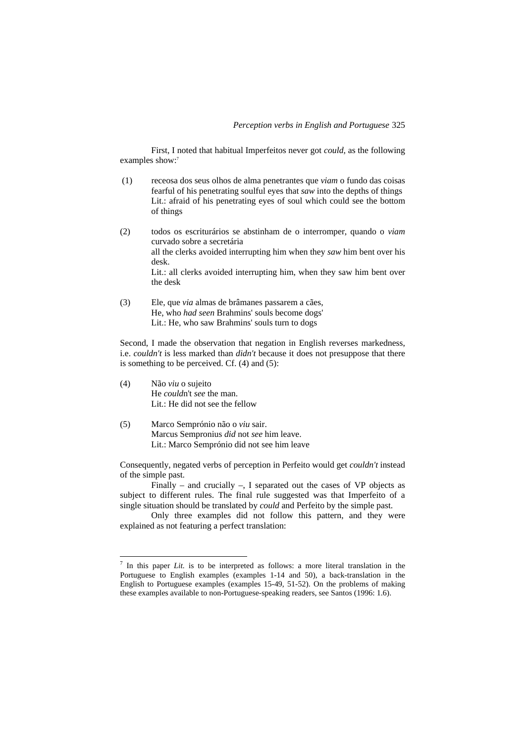First, I noted that habitual Imperfeitos never got *could*, as the following examples show:<sup>7</sup>

- (1) receosa dos seus olhos de alma penetrantes que *viam* o fundo das coisas fearful of his penetrating soulful eyes that *saw* into the depths of things Lit.: afraid of his penetrating eyes of soul which could see the bottom of things
- (2) todos os escriturários se abstinham de o interromper, quando o *viam* curvado sobre a secretária all the clerks avoided interrupting him when they *saw* him bent over his desk. Lit.: all clerks avoided interrupting him, when they saw him bent over the desk
- (3) Ele, que *via* almas de brâmanes passarem a cães, He, who *had seen* Brahmins' souls become dogs' Lit.: He, who saw Brahmins' souls turn to dogs

Second, I made the observation that negation in English reverses markedness, i.e. *couldn't* is less marked than *didn't* because it does not presuppose that there is something to be perceived. Cf. (4) and (5):

(4) Não *viu* o sujeito He *could*n't *see* the man. Lit.: He did not see the fellow

 $\overline{a}$ 

(5) Marco Semprónio não o *viu* sair. Marcus Sempronius *did* not *see* him leave. Lit.: Marco Semprónio did not see him leave

Consequently, negated verbs of perception in Perfeito would get *couldn't* instead of the simple past.

Finally – and crucially –, I separated out the cases of  $VP$  objects as subject to different rules. The final rule suggested was that Imperfeito of a single situation should be translated by *could* and Perfeito by the simple past.

Only three examples did not follow this pattern, and they were explained as not featuring a perfect translation:

 $<sup>7</sup>$  In this paper *Lit.* is to be interpreted as follows: a more literal translation in the</sup> Portuguese to English examples (examples 1-14 and 50), a back-translation in the English to Portuguese examples (examples 15-49, 51-52). On the problems of making these examples available to non-Portuguese-speaking readers, see Santos (1996: 1.6).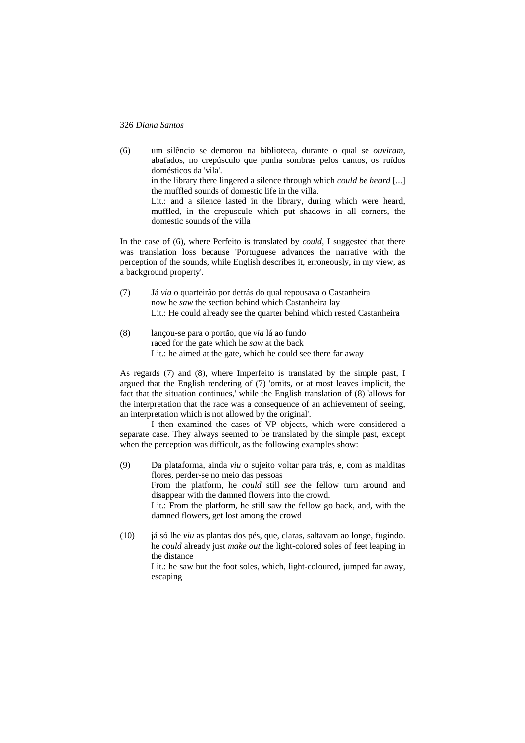(6) um silêncio se demorou na biblioteca, durante o qual se *ouviram*, abafados, no crepúsculo que punha sombras pelos cantos, os ruídos domésticos da 'vila'. in the library there lingered a silence through which *could be heard* [...] the muffled sounds of domestic life in the villa. Lit.: and a silence lasted in the library, during which were heard, muffled, in the crepuscule which put shadows in all corners, the domestic sounds of the villa

In the case of (6), where Perfeito is translated by *could*, I suggested that there was translation loss because 'Portuguese advances the narrative with the perception of the sounds, while English describes it, erroneously, in my view, as a background property'.

- (7) Já *via* o quarteirão por detrás do qual repousava o Castanheira now he *saw* the section behind which Castanheira lay Lit.: He could already see the quarter behind which rested Castanheira
- (8) lançou-se para o portão, que *via* lá ao fundo raced for the gate which he *saw* at the back Lit.: he aimed at the gate, which he could see there far away

As regards (7) and (8), where Imperfeito is translated by the simple past, I argued that the English rendering of (7) 'omits, or at most leaves implicit, the fact that the situation continues,' while the English translation of (8) 'allows for the interpretation that the race was a consequence of an achievement of seeing, an interpretation which is not allowed by the original'.

I then examined the cases of VP objects, which were considered a separate case. They always seemed to be translated by the simple past, except when the perception was difficult, as the following examples show:

- (9) Da plataforma, ainda *viu* o sujeito voltar para trás, e, com as malditas flores, perder-se no meio das pessoas From the platform, he *could* still *see* the fellow turn around and disappear with the damned flowers into the crowd. Lit.: From the platform, he still saw the fellow go back, and, with the damned flowers, get lost among the crowd
- (10) já só lhe *viu* as plantas dos pés, que, claras, saltavam ao longe, fugindo. he *could* already just *make out* the light-colored soles of feet leaping in the distance Lit.: he saw but the foot soles, which, light-coloured, jumped far away, escaping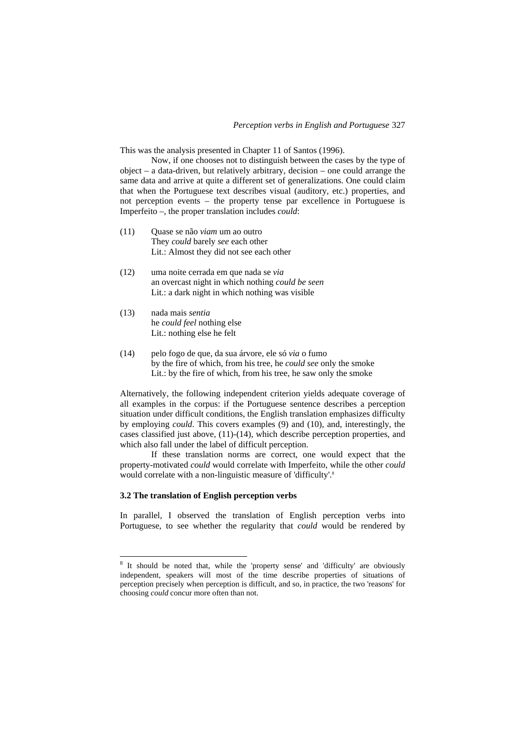This was the analysis presented in Chapter 11 of Santos (1996).

Now, if one chooses not to distinguish between the cases by the type of object – a data-driven, but relatively arbitrary, decision – one could arrange the same data and arrive at quite a different set of generalizations. One could claim that when the Portuguese text describes visual (auditory, etc.) properties, and not perception events – the property tense par excellence in Portuguese is Imperfeito –, the proper translation includes *could*:

- (11) Quase se não *viam* um ao outro They *could* barely *see* each other Lit.: Almost they did not see each other
- (12) uma noite cerrada em que nada se *via* an overcast night in which nothing *could be seen* Lit.: a dark night in which nothing was visible
- (13) nada mais *sentia* he *could feel* nothing else Lit.: nothing else he felt
- (14) pelo fogo de que, da sua árvore, ele só *via* o fumo by the fire of which, from his tree, he *could see* only the smoke Lit.: by the fire of which, from his tree, he saw only the smoke

Alternatively, the following independent criterion yields adequate coverage of all examples in the corpus: if the Portuguese sentence describes a perception situation under difficult conditions, the English translation emphasizes difficulty by employing *could*. This covers examples (9) and (10), and, interestingly, the cases classified just above, (11)-(14), which describe perception properties, and which also fall under the label of difficult perception.

If these translation norms are correct, one would expect that the property-motivated *could* would correlate with Imperfeito, while the other *could*  would correlate with a non-linguistic measure of 'difficulty'.<sup>8</sup>

#### **3.2 The translation of English perception verbs**

 $\overline{a}$ 

In parallel, I observed the translation of English perception verbs into Portuguese, to see whether the regularity that *could* would be rendered by

<sup>&</sup>lt;sup>8</sup> It should be noted that, while the 'property sense' and 'difficulty' are obviously independent, speakers will most of the time describe properties of situations of perception precisely when perception is difficult, and so, in practice, the two 'reasons' for choosing *could* concur more often than not.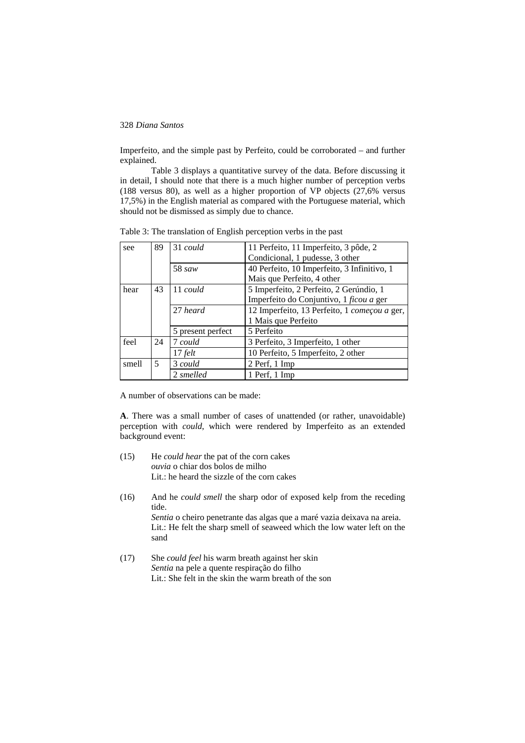Imperfeito, and the simple past by Perfeito, could be corroborated – and further explained.

Table 3 displays a quantitative survey of the data. Before discussing it in detail, I should note that there is a much higher number of perception verbs (188 versus 80), as well as a higher proportion of VP objects (27,6% versus 17,5%) in the English material as compared with the Portuguese material, which should not be dismissed as simply due to chance.

| see   | 89 | 31 could          | 11 Perfeito, 11 Imperfeito, 3 pôde, 2        |  |  |  |  |
|-------|----|-------------------|----------------------------------------------|--|--|--|--|
|       |    |                   | Condicional, 1 pudesse, 3 other              |  |  |  |  |
|       |    | 58 saw            | 40 Perfeito, 10 Imperfeito, 3 Infinitivo, 1  |  |  |  |  |
|       |    |                   | Mais que Perfeito, 4 other                   |  |  |  |  |
| hear  | 43 | $11$ could        | 5 Imperfeito, 2 Perfeito, 2 Gerúndio, 1      |  |  |  |  |
|       |    |                   | Imperfeito do Conjuntivo, 1 ficou a ger      |  |  |  |  |
|       |    | 27 heard          | 12 Imperfeito, 13 Perfeito, 1 começou a ger, |  |  |  |  |
|       |    |                   | 1 Mais que Perfeito                          |  |  |  |  |
|       |    | 5 present perfect | 5 Perfeito                                   |  |  |  |  |
| feel  | 24 | 7 could           | 3 Perfeito, 3 Imperfeito, 1 other            |  |  |  |  |
|       |    | $17$ felt         | 10 Perfeito, 5 Imperfeito, 2 other           |  |  |  |  |
| smell | 5  | 3 could           | 2 Perf, 1 Imp                                |  |  |  |  |
|       |    | 2 smelled         | 1 Perf, 1 Imp                                |  |  |  |  |

Table 3: The translation of English perception verbs in the past

A number of observations can be made:

**A**. There was a small number of cases of unattended (or rather, unavoidable) perception with *could*, which were rendered by Imperfeito as an extended background event:

- (15) He *could hear* the pat of the corn cakes *ouvia* o chiar dos bolos de milho Lit.: he heard the sizzle of the corn cakes
- (16) And he *could smell* the sharp odor of exposed kelp from the receding tide. *Sentia* o cheiro penetrante das algas que a maré vazia deixava na areia. Lit.: He felt the sharp smell of seaweed which the low water left on the sand
- (17) She *could feel* his warm breath against her skin *Sentia* na pele a quente respiração do filho Lit.: She felt in the skin the warm breath of the son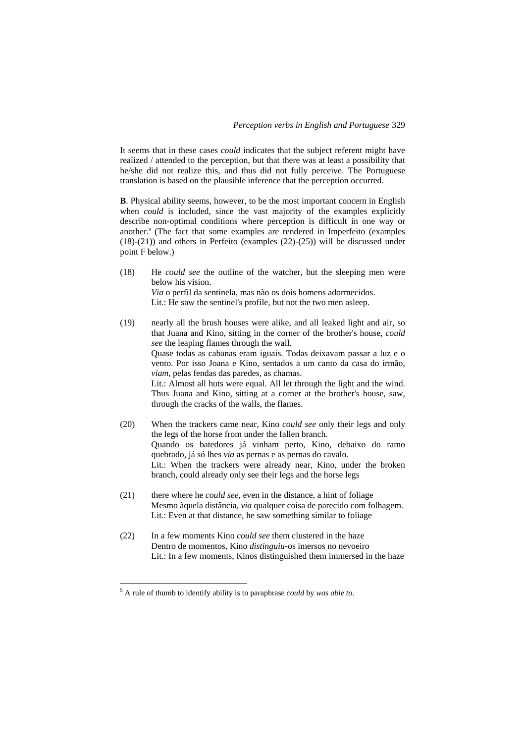It seems that in these cases *could* indicates that the subject referent might have realized / attended to the perception, but that there was at least a possibility that he/she did not realize this, and thus did not fully perceive. The Portuguese translation is based on the plausible inference that the perception occurred.

**B**. Physical ability seems, however, to be the most important concern in English when *could* is included, since the vast majority of the examples explicitly describe non-optimal conditions where perception is difficult in one way or another.<sup>9</sup> (The fact that some examples are rendered in Imperfeito (examples (18)-(21)) and others in Perfeito (examples (22)-(25)) will be discussed under point F below.)

- (18) He *could see* the outline of the watcher, but the sleeping men were below his vision. *Via* o perfil da sentinela, mas não os dois homens adormecidos. Lit.: He saw the sentinel's profile, but not the two men asleep.
- (19) nearly all the brush houses were alike, and all leaked light and air, so that Juana and Kino, sitting in the corner of the brother's house, *could see* the leaping flames through the wall. Quase todas as cabanas eram iguais. Todas deixavam passar a luz e o vento. Por isso Joana e Kino, sentados a um canto da casa do irmão, *viam*, pelas fendas das paredes, as chamas. Lit.: Almost all huts were equal. All let through the light and the wind. Thus Juana and Kino, sitting at a corner at the brother's house, saw, through the cracks of the walls, the flames.
- (20) When the trackers came near, Kino *could see* only their legs and only the legs of the horse from under the fallen branch. Quando os batedores já vinham perto, Kino, debaixo do ramo quebrado, já só lhes *via* as pernas e as pernas do cavalo. Lit.: When the trackers were already near, Kino, under the broken branch, could already only see their legs and the horse legs
- (21) there where he *could see*, even in the distance, a hint of foliage Mesmo àquela distância, *via* qualquer coisa de parecido com folhagem. Lit.: Even at that distance, he saw something similar to foliage
- (22) In a few moments Kino *could see* them clustered in the haze Dentro de momentos, Kino *distinguiu*-os imersos no nevoeiro Lit.: In a few moments, Kinos distinguished them immersed in the haze

 $\overline{a}$ 

<sup>9</sup> A rule of thumb to identify ability is to paraphrase *could* by *was able to*.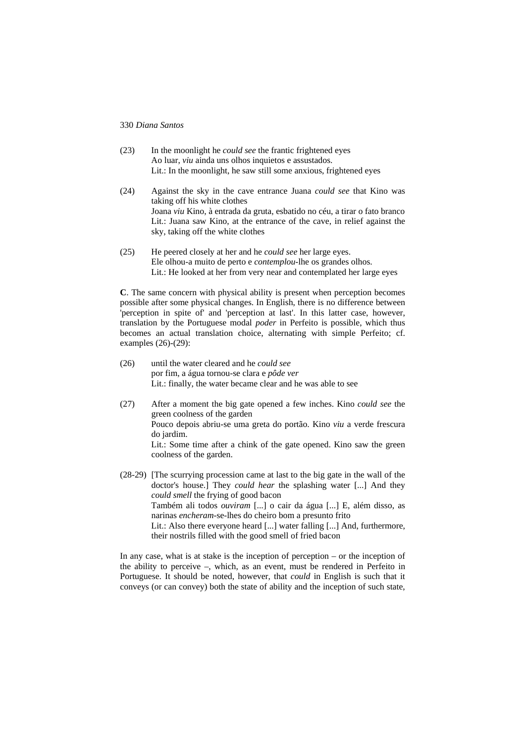- (23) In the moonlight he *could see* the frantic frightened eyes Ao luar, *viu* ainda uns olhos inquietos e assustados. Lit.: In the moonlight, he saw still some anxious, frightened eyes
- (24) Against the sky in the cave entrance Juana *could see* that Kino was taking off his white clothes Joana *viu* Kino, à entrada da gruta, esbatido no céu, a tirar o fato branco Lit.: Juana saw Kino, at the entrance of the cave, in relief against the sky, taking off the white clothes
- (25) He peered closely at her and he *could see* her large eyes. Ele olhou-a muito de perto e *contemplou*-lhe os grandes olhos. Lit.: He looked at her from very near and contemplated her large eyes

**C**. The same concern with physical ability is present when perception becomes possible after some physical changes. In English, there is no difference between 'perception in spite of' and 'perception at last'. In this latter case, however, translation by the Portuguese modal *poder* in Perfeito is possible, which thus becomes an actual translation choice, alternating with simple Perfeito; cf. examples (26)-(29):

- (26) until the water cleared and he *could see* por fim, a água tornou-se clara e *pôde ver* Lit.: finally, the water became clear and he was able to see
- (27) After a moment the big gate opened a few inches. Kino *could see* the green coolness of the garden Pouco depois abriu-se uma greta do portão. Kino *viu* a verde frescura do jardim. Lit.: Some time after a chink of the gate opened. Kino saw the green coolness of the garden.

(28-29) [The scurrying procession came at last to the big gate in the wall of the doctor's house.] They *could hear* the splashing water [...] And they *could smell* the frying of good bacon Também ali todos *ouviram* [...] o cair da água [...] E, além disso, as narinas *encheram*-se-lhes do cheiro bom a presunto frito Lit.: Also there everyone heard [...] water falling [...] And, furthermore, their nostrils filled with the good smell of fried bacon

In any case, what is at stake is the inception of perception – or the inception of the ability to perceive –, which, as an event, must be rendered in Perfeito in Portuguese. It should be noted, however, that *could* in English is such that it conveys (or can convey) both the state of ability and the inception of such state,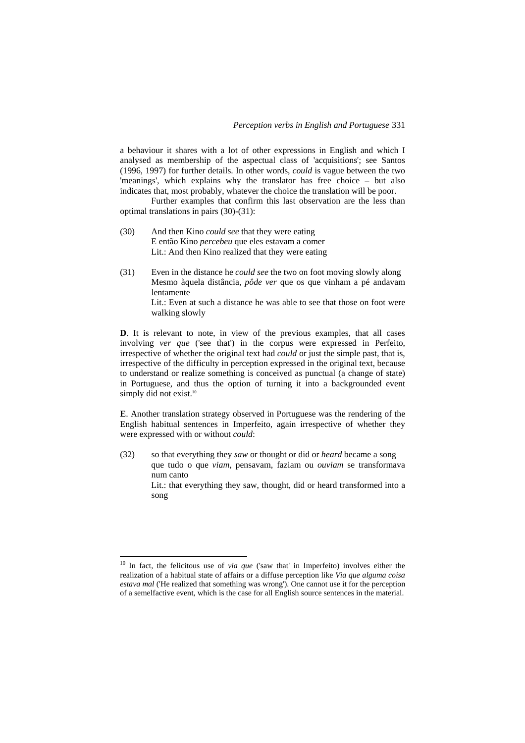a behaviour it shares with a lot of other expressions in English and which I analysed as membership of the aspectual class of 'acquisitions'; see Santos (1996, 1997) for further details. In other words, *could* is vague between the two 'meanings', which explains why the translator has free choice – but also indicates that, most probably, whatever the choice the translation will be poor.

Further examples that confirm this last observation are the less than optimal translations in pairs (30)-(31):

- (30) And then Kino *could see* that they were eating E então Kino *percebeu* que eles estavam a comer Lit.: And then Kino realized that they were eating
- (31) Even in the distance he *could see* the two on foot moving slowly along Mesmo àquela distância, *pôde ver* que os que vinham a pé andavam lentamente Lit.: Even at such a distance he was able to see that those on foot were

walking slowly

**D**. It is relevant to note, in view of the previous examples, that all cases involving *ver que* ('see that') in the corpus were expressed in Perfeito, irrespective of whether the original text had *could* or just the simple past, that is, irrespective of the difficulty in perception expressed in the original text, because to understand or realize something is conceived as punctual (a change of state) in Portuguese, and thus the option of turning it into a backgrounded event simply did not exist.<sup>10</sup>

**E**. Another translation strategy observed in Portuguese was the rendering of the English habitual sentences in Imperfeito, again irrespective of whether they were expressed with or without *could*:

(32) so that everything they *saw* or thought or did or *heard* became a song que tudo o que *viam*, pensavam, faziam ou *ouviam* se transformava num canto

Lit.: that everything they saw, thought, did or heard transformed into a song

 $\overline{a}$ 

<sup>10</sup> In fact, the felicitous use of *via que* ('saw that' in Imperfeito) involves either the realization of a habitual state of affairs or a diffuse perception like *Via que alguma coisa estava mal* ('He realized that something was wrong'). One cannot use it for the perception of a semelfactive event, which is the case for all English source sentences in the material.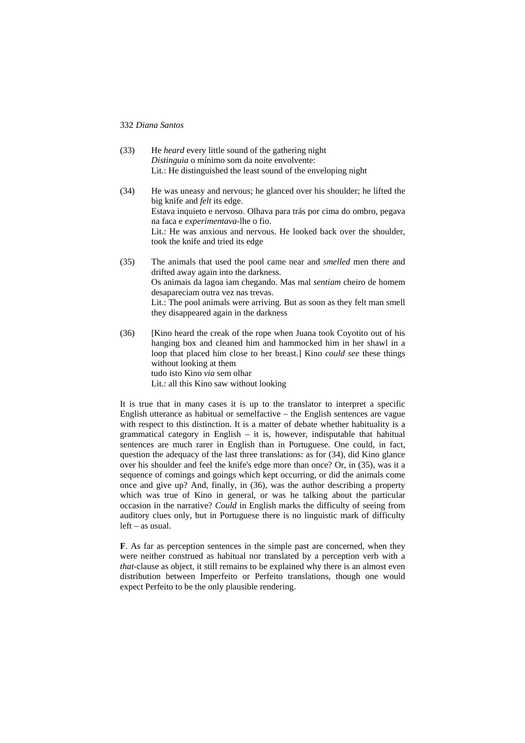| (33) | He <i>heard</i> every little sound of the gathering night<br>Distinguia o mínimo som da noite envolvente:<br>Lit.: He distinguished the least sound of the enveloping night                                                                                                                                                                                |
|------|------------------------------------------------------------------------------------------------------------------------------------------------------------------------------------------------------------------------------------------------------------------------------------------------------------------------------------------------------------|
| (34) | He was uneasy and nervous; he glanced over his shoulder; he lifted the<br>big knife and <i>felt</i> its edge.<br>Estava inquieto e nervoso. Olhava para trás por cima do ombro, pegava<br>na faca e <i>experimentava</i> -lhe o fio.<br>Lit.: He was anxious and nervous. He looked back over the shoulder,<br>took the knife and tried its edge           |
| (35) | The animals that used the pool came near and <i>smelled</i> men there and<br>drifted away again into the darkness.<br>Os animais da lagoa iam chegando. Mas mal <i>sentiam</i> cheiro de homem<br>desapareciam outra vez nas trevas.<br>Lit.: The pool animals were arriving. But as soon as they felt man smell<br>they disappeared again in the darkness |

(36) [Kino heard the creak of the rope when Juana took Coyotito out of his hanging box and cleaned him and hammocked him in her shawl in a loop that placed him close to her breast.] Kino *could see* these things without looking at them tudo isto Kino *via* sem olhar Lit.: all this Kino saw without looking

It is true that in many cases it is up to the translator to interpret a specific English utterance as habitual or semelfactive – the English sentences are vague with respect to this distinction. It is a matter of debate whether habituality is a grammatical category in English – it is, however, indisputable that habitual sentences are much rarer in English than in Portuguese. One could, in fact, question the adequacy of the last three translations: as for (34), did Kino glance over his shoulder and feel the knife's edge more than once? Or, in (35), was it a sequence of comings and goings which kept occurring, or did the animals come once and give up? And, finally, in (36), was the author describing a property which was true of Kino in general, or was he talking about the particular occasion in the narrative? *Could* in English marks the difficulty of seeing from auditory clues only, but in Portuguese there is no linguistic mark of difficulty left – as usual.

**F**. As far as perception sentences in the simple past are concerned, when they were neither construed as habitual nor translated by a perception verb with a *that*-clause as object, it still remains to be explained why there is an almost even distribution between Imperfeito or Perfeito translations, though one would expect Perfeito to be the only plausible rendering.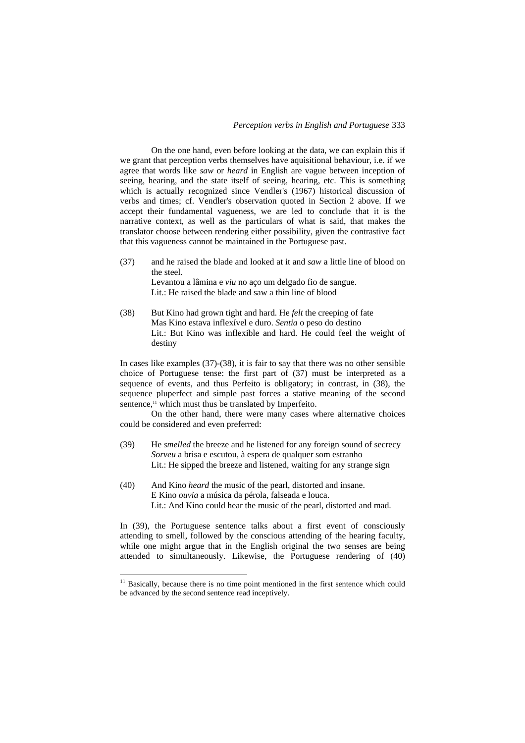On the one hand, even before looking at the data, we can explain this if we grant that perception verbs themselves have aquisitional behaviour, i.e. if we agree that words like *saw* or *heard* in English are vague between inception of seeing, hearing, and the state itself of seeing, hearing, etc. This is something which is actually recognized since Vendler's (1967) historical discussion of verbs and times; cf. Vendler's observation quoted in Section 2 above. If we accept their fundamental vagueness, we are led to conclude that it is the narrative context, as well as the particulars of what is said, that makes the translator choose between rendering either possibility, given the contrastive fact that this vagueness cannot be maintained in the Portuguese past.

- (37) and he raised the blade and looked at it and *saw* a little line of blood on the steel. Levantou a lâmina e *viu* no aço um delgado fio de sangue. Lit.: He raised the blade and saw a thin line of blood
- (38) But Kino had grown tight and hard. He *felt* the creeping of fate Mas Kino estava inflexível e duro. *Sentia* o peso do destino Lit.: But Kino was inflexible and hard. He could feel the weight of destiny

In cases like examples (37)-(38), it is fair to say that there was no other sensible choice of Portuguese tense: the first part of (37) must be interpreted as a sequence of events, and thus Perfeito is obligatory; in contrast, in (38), the sequence pluperfect and simple past forces a stative meaning of the second sentence,<sup>11</sup> which must thus be translated by Imperfeito.

On the other hand, there were many cases where alternative choices could be considered and even preferred:

- (39) He *smelled* the breeze and he listened for any foreign sound of secrecy *Sorveu* a brisa e escutou, à espera de qualquer som estranho Lit.: He sipped the breeze and listened, waiting for any strange sign
- (40) And Kino *heard* the music of the pearl, distorted and insane. E Kino *ouvia* a música da pérola, falseada e louca. Lit.: And Kino could hear the music of the pearl, distorted and mad.

In (39), the Portuguese sentence talks about a first event of consciously attending to smell, followed by the conscious attending of the hearing faculty, while one might argue that in the English original the two senses are being attended to simultaneously. Likewise, the Portuguese rendering of (40)

 $\overline{a}$ 

 $11$  Basically, because there is no time point mentioned in the first sentence which could be advanced by the second sentence read inceptively.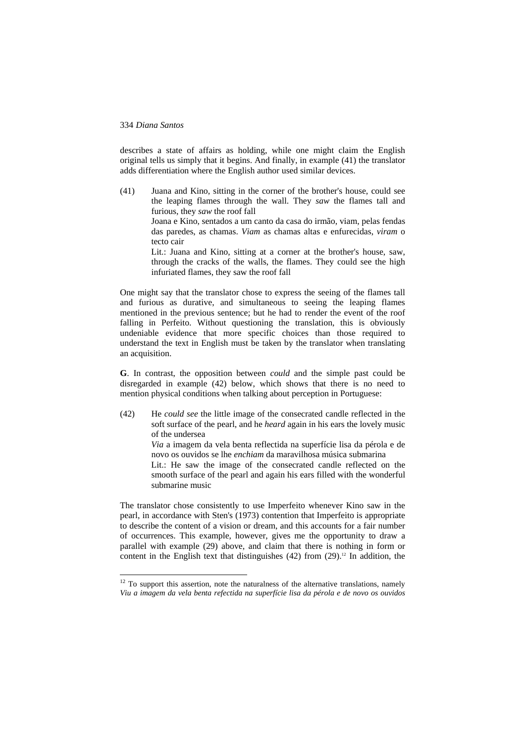$\overline{a}$ 

describes a state of affairs as holding, while one might claim the English original tells us simply that it begins. And finally, in example (41) the translator adds differentiation where the English author used similar devices.

(41) Juana and Kino, sitting in the corner of the brother's house, could see the leaping flames through the wall. They *saw* the flames tall and furious, they *saw* the roof fall Joana e Kino, sentados a um canto da casa do irmão, viam, pelas fendas das paredes, as chamas. *Viam* as chamas altas e enfurecidas, *viram* o tecto cair Lit.: Juana and Kino, sitting at a corner at the brother's house, saw, through the cracks of the walls, the flames. They could see the high infuriated flames, they saw the roof fall

One might say that the translator chose to express the seeing of the flames tall and furious as durative, and simultaneous to seeing the leaping flames mentioned in the previous sentence; but he had to render the event of the roof falling in Perfeito. Without questioning the translation, this is obviously undeniable evidence that more specific choices than those required to understand the text in English must be taken by the translator when translating an acquisition.

**G**. In contrast, the opposition between *could* and the simple past could be disregarded in example (42) below, which shows that there is no need to mention physical conditions when talking about perception in Portuguese:

(42) He *could see* the little image of the consecrated candle reflected in the soft surface of the pearl, and he *heard* again in his ears the lovely music of the undersea *Via* a imagem da vela benta reflectida na superfície lisa da pérola e de novo os ouvidos se lhe *enchiam* da maravilhosa música submarina Lit.: He saw the image of the consecrated candle reflected on the smooth surface of the pearl and again his ears filled with the wonderful submarine music

The translator chose consistently to use Imperfeito whenever Kino saw in the pearl, in accordance with Sten's (1973) contention that Imperfeito is appropriate to describe the content of a vision or dream, and this accounts for a fair number of occurrences. This example, however, gives me the opportunity to draw a parallel with example (29) above, and claim that there is nothing in form or content in the English text that distinguishes  $(42)$  from  $(29)$ .<sup>12</sup> In addition, the

 $12$  To support this assertion, note the naturalness of the alternative translations, namely *Viu a imagem da vela benta refectida na superfície lisa da pérola e de novo os ouvidos*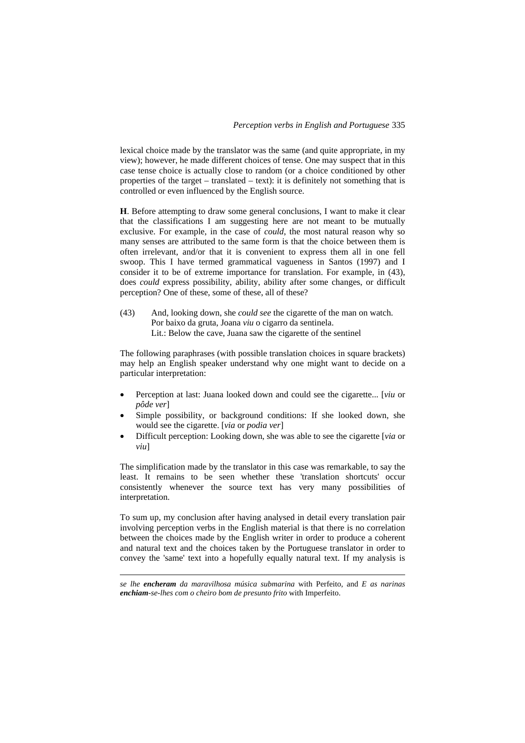lexical choice made by the translator was the same (and quite appropriate, in my view); however, he made different choices of tense. One may suspect that in this case tense choice is actually close to random (or a choice conditioned by other properties of the target – translated – text): it is definitely not something that is controlled or even influenced by the English source.

**H**. Before attempting to draw some general conclusions, I want to make it clear that the classifications I am suggesting here are not meant to be mutually exclusive. For example, in the case of *could*, the most natural reason why so many senses are attributed to the same form is that the choice between them is often irrelevant, and/or that it is convenient to express them all in one fell swoop. This I have termed grammatical vagueness in Santos (1997) and I consider it to be of extreme importance for translation. For example, in (43), does *could* express possibility, ability, ability after some changes, or difficult perception? One of these, some of these, all of these?

(43) And, looking down, she *could see* the cigarette of the man on watch. Por baixo da gruta, Joana *viu* o cigarro da sentinela. Lit.: Below the cave, Juana saw the cigarette of the sentinel

The following paraphrases (with possible translation choices in square brackets) may help an English speaker understand why one might want to decide on a particular interpretation:

- Perception at last: Juana looked down and could see the cigarette... [*viu* or *pôde ver*]
- Simple possibility, or background conditions: If she looked down, she would see the cigarette. [*via* or *podia ver*]
- Difficult perception: Looking down, she was able to see the cigarette [*via* or *viu*]

The simplification made by the translator in this case was remarkable, to say the least. It remains to be seen whether these 'translation shortcuts' occur consistently whenever the source text has very many possibilities of interpretation.

To sum up, my conclusion after having analysed in detail every translation pair involving perception verbs in the English material is that there is no correlation between the choices made by the English writer in order to produce a coherent and natural text and the choices taken by the Portuguese translator in order to convey the 'same' text into a hopefully equally natural text. If my analysis is

*se lhe encheram da maravilhosa música submarina* with Perfeito, and *E as narinas enchiam-se-lhes com o cheiro bom de presunto frito* with Imperfeito.

1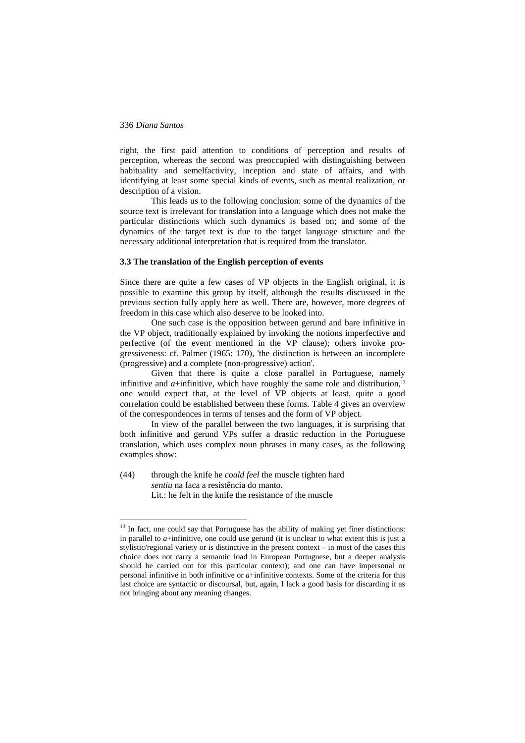$\overline{a}$ 

right, the first paid attention to conditions of perception and results of perception, whereas the second was preoccupied with distinguishing between habituality and semelfactivity, inception and state of affairs, and with identifying at least some special kinds of events, such as mental realization, or description of a vision.

This leads us to the following conclusion: some of the dynamics of the source text is irrelevant for translation into a language which does not make the particular distinctions which such dynamics is based on; and some of the dynamics of the target text is due to the target language structure and the necessary additional interpretation that is required from the translator.

### **3.3 The translation of the English perception of events**

Since there are quite a few cases of VP objects in the English original, it is possible to examine this group by itself, although the results discussed in the previous section fully apply here as well. There are, however, more degrees of freedom in this case which also deserve to be looked into.

One such case is the opposition between gerund and bare infinitive in the VP object, traditionally explained by invoking the notions imperfective and perfective (of the event mentioned in the VP clause); others invoke progressiveness: cf. Palmer (1965: 170), 'the distinction is between an incomplete (progressive) and a complete (non-progressive) action'.

Given that there is quite a close parallel in Portuguese, namely infinitive and  $a$ +infinitive, which have roughly the same role and distribution.<sup>13</sup> one would expect that, at the level of VP objects at least, quite a good correlation could be established between these forms. Table 4 gives an overview of the correspondences in terms of tenses and the form of VP object.

In view of the parallel between the two languages, it is surprising that both infinitive and gerund VPs suffer a drastic reduction in the Portuguese translation, which uses complex noun phrases in many cases, as the following examples show:

(44) through the knife he *could feel* the muscle tighten hard *sentiu* na faca a resistência do manto. Lit.: he felt in the knife the resistance of the muscle

<sup>&</sup>lt;sup>13</sup> In fact, one could say that Portuguese has the ability of making yet finer distinctions: in parallel to *a*+infinitive, one could use gerund (it is unclear to what extent this is just a stylistic/regional variety or is distinctive in the present context – in most of the cases this choice does not carry a semantic load in European Portuguese, but a deeper analysis should be carried out for this particular context); and one can have impersonal or personal infinitive in both infinitive or *a*+infinitive contexts. Some of the criteria for this last choice are syntactic or discoursal, but, again, I lack a good basis for discarding it as not bringing about any meaning changes.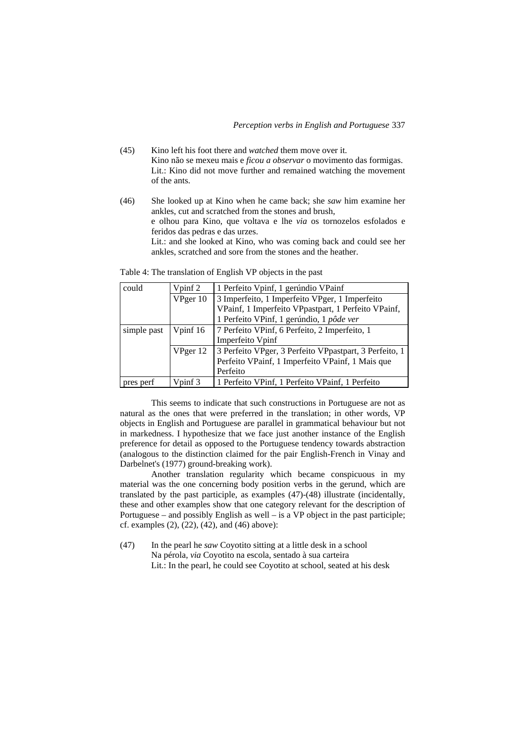- (45) Kino left his foot there and *watched* them move over it. Kino não se mexeu mais e *ficou a observar* o movimento das formigas. Lit.: Kino did not move further and remained watching the movement of the ants.
- (46) She looked up at Kino when he came back; she *saw* him examine her ankles, cut and scratched from the stones and brush, e olhou para Kino, que voltava e lhe *via* os tornozelos esfolados e feridos das pedras e das urzes. Lit.: and she looked at Kino, who was coming back and could see her ankles, scratched and sore from the stones and the heather.

Table 4: The translation of English VP objects in the past

| could       | Vpinf 2  | 1 Perfeito Vpinf, 1 gerúndio VPainf                    |  |  |
|-------------|----------|--------------------------------------------------------|--|--|
|             | VPger 10 | 3 Imperfeito, 1 Imperfeito VPger, 1 Imperfeito         |  |  |
|             |          | VPainf, 1 Imperfeito VPpastpart, 1 Perfeito VPainf,    |  |  |
|             |          | 1 Perfeito VPinf, 1 gerúndio, 1 pôde ver               |  |  |
| simple past | Vpinf 16 | 7 Perfeito VPinf, 6 Perfeito, 2 Imperfeito, 1          |  |  |
|             |          | Imperfeito Vpinf                                       |  |  |
|             | VPger 12 | 3 Perfeito VPger, 3 Perfeito VPpastpart, 3 Perfeito, 1 |  |  |
|             |          | Perfeito VPainf, 1 Imperfeito VPainf, 1 Mais que       |  |  |
|             |          | Perfeito                                               |  |  |
| pres perf   | Vpinf 3  | 1 Perfeito VPinf, 1 Perfeito VPainf, 1 Perfeito        |  |  |

This seems to indicate that such constructions in Portuguese are not as natural as the ones that were preferred in the translation; in other words, VP objects in English and Portuguese are parallel in grammatical behaviour but not in markedness. I hypothesize that we face just another instance of the English preference for detail as opposed to the Portuguese tendency towards abstraction (analogous to the distinction claimed for the pair English-French in Vinay and Darbelnet's (1977) ground-breaking work).

Another translation regularity which became conspicuous in my material was the one concerning body position verbs in the gerund, which are translated by the past participle, as examples (47)-(48) illustrate (incidentally, these and other examples show that one category relevant for the description of Portuguese – and possibly English as well – is a VP object in the past participle; cf. examples (2), (22), (42), and (46) above):

(47) In the pearl he *saw* Coyotito sitting at a little desk in a school Na pérola, *via* Coyotito na escola, sentado à sua carteira Lit.: In the pearl, he could see Coyotito at school, seated at his desk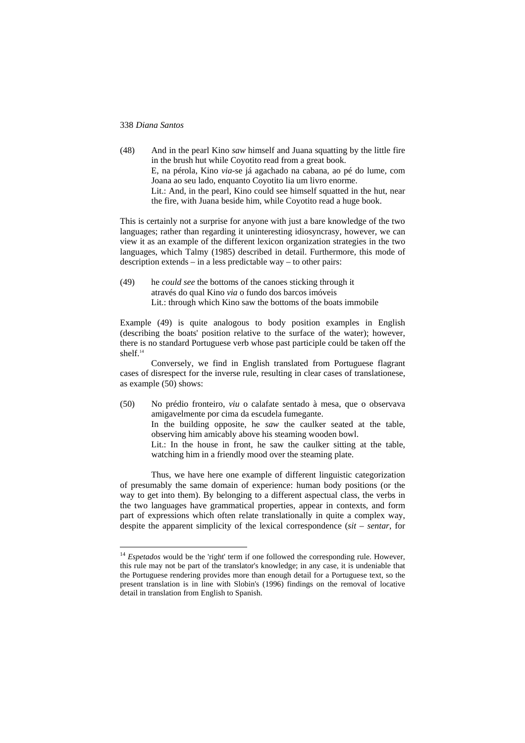$\overline{a}$ 

(48) And in the pearl Kino *saw* himself and Juana squatting by the little fire in the brush hut while Coyotito read from a great book. E, na pérola, Kino *via*-se já agachado na cabana, ao pé do lume, com Joana ao seu lado, enquanto Coyotito lia um livro enorme. Lit.: And, in the pearl, Kino could see himself squatted in the hut, near the fire, with Juana beside him, while Coyotito read a huge book.

This is certainly not a surprise for anyone with just a bare knowledge of the two languages; rather than regarding it uninteresting idiosyncrasy, however, we can view it as an example of the different lexicon organization strategies in the two languages, which Talmy (1985) described in detail. Furthermore, this mode of description extends – in a less predictable way – to other pairs:

(49) he *could see* the bottoms of the canoes sticking through it através do qual Kino *via* o fundo dos barcos imóveis Lit.: through which Kino saw the bottoms of the boats immobile

Example (49) is quite analogous to body position examples in English (describing the boats' position relative to the surface of the water); however, there is no standard Portuguese verb whose past participle could be taken off the shelf.14

Conversely, we find in English translated from Portuguese flagrant cases of disrespect for the inverse rule, resulting in clear cases of translationese, as example (50) shows:

(50) No prédio fronteiro, *viu* o calafate sentado à mesa, que o observava amigavelmente por cima da escudela fumegante.

In the building opposite, he *saw* the caulker seated at the table, observing him amicably above his steaming wooden bowl.

Lit.: In the house in front, he saw the caulker sitting at the table, watching him in a friendly mood over the steaming plate.

Thus, we have here one example of different linguistic categorization of presumably the same domain of experience: human body positions (or the way to get into them). By belonging to a different aspectual class, the verbs in the two languages have grammatical properties, appear in contexts, and form part of expressions which often relate translationally in quite a complex way, despite the apparent simplicity of the lexical correspondence (*sit* – *sentar*, for

<sup>&</sup>lt;sup>14</sup> *Espetados* would be the 'right' term if one followed the corresponding rule. However, this rule may not be part of the translator's knowledge; in any case, it is undeniable that the Portuguese rendering provides more than enough detail for a Portuguese text, so the present translation is in line with Slobin's (1996) findings on the removal of locative detail in translation from English to Spanish.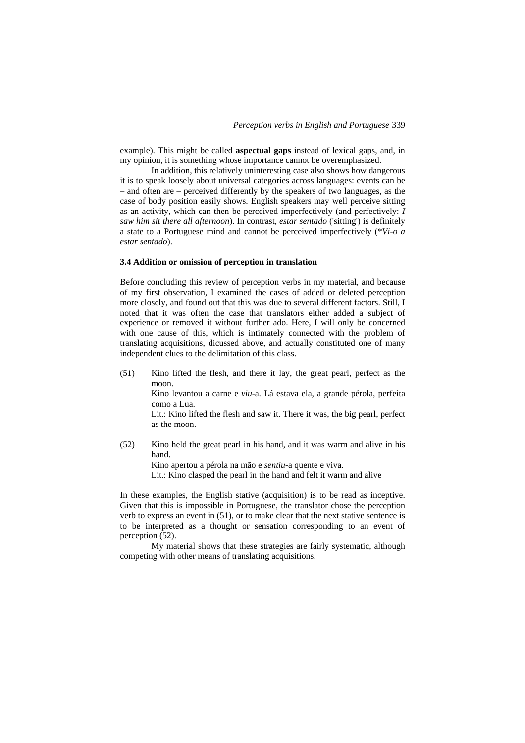example). This might be called **aspectual gaps** instead of lexical gaps, and, in my opinion, it is something whose importance cannot be overemphasized.

In addition, this relatively uninteresting case also shows how dangerous it is to speak loosely about universal categories across languages: events can be – and often are – perceived differently by the speakers of two languages, as the case of body position easily shows. English speakers may well perceive sitting as an activity, which can then be perceived imperfectively (and perfectively: *I saw him sit there all afternoon*). In contrast, *estar sentado* ('sitting') is definitely a state to a Portuguese mind and cannot be perceived imperfectively (\**Vi-o a estar sentado*).

### **3.4 Addition or omission of perception in translation**

Before concluding this review of perception verbs in my material, and because of my first observation, I examined the cases of added or deleted perception more closely, and found out that this was due to several different factors. Still, I noted that it was often the case that translators either added a subject of experience or removed it without further ado. Here, I will only be concerned with one cause of this, which is intimately connected with the problem of translating acquisitions, dicussed above, and actually constituted one of many independent clues to the delimitation of this class.

(51) Kino lifted the flesh, and there it lay, the great pearl, perfect as the moon. Kino levantou a carne e *viu*-a. Lá estava ela, a grande pérola, perfeita

> como a Lua. Lit.: Kino lifted the flesh and saw it. There it was, the big pearl, perfect as the moon.

(52) Kino held the great pearl in his hand, and it was warm and alive in his hand. Kino apertou a pérola na mão e *sentiu*-a quente e viva.

Lit.: Kino clasped the pearl in the hand and felt it warm and alive

In these examples, the English stative (acquisition) is to be read as inceptive. Given that this is impossible in Portuguese, the translator chose the perception verb to express an event in (51), or to make clear that the next stative sentence is to be interpreted as a thought or sensation corresponding to an event of perception (52).

My material shows that these strategies are fairly systematic, although competing with other means of translating acquisitions.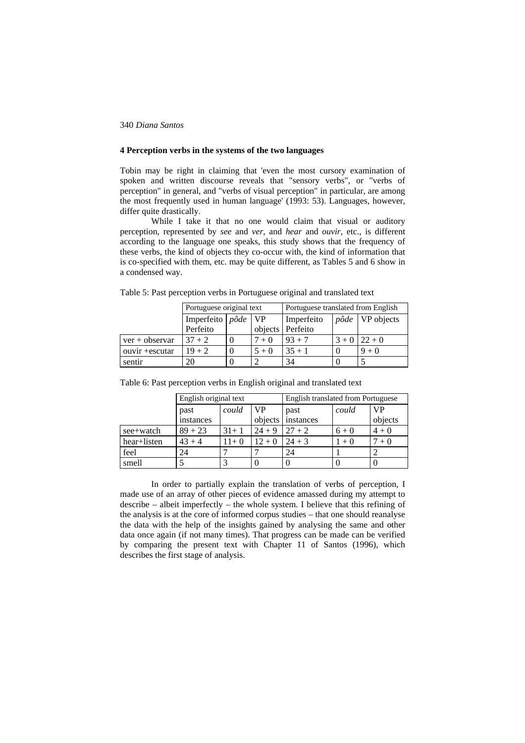# **4 Perception verbs in the systems of the two languages**

Tobin may be right in claiming that 'even the most cursory examination of spoken and written discourse reveals that "sensory verbs", or "verbs of perception" in general, and "verbs of visual perception" in particular, are among the most frequently used in human language' (1993: 53). Languages, however, differ quite drastically.

While I take it that no one would claim that visual or auditory perception, represented by *see* and *ver*, and *hear* and *ouvir*, etc., is different according to the language one speaks, this study shows that the frequency of these verbs, the kind of objects they co-occur with, the kind of information that is co-specified with them, etc. may be quite different, as Tables 5 and 6 show in a condensed way.

|                  | Portuguese original text           |  |            | Portuguese translated from English |                           |                  |
|------------------|------------------------------------|--|------------|------------------------------------|---------------------------|------------------|
|                  | Imperfeito pôde<br>$\overline{VP}$ |  | Imperfeito |                                    | $p\hat{o}de$   VP objects |                  |
|                  | Perfeito                           |  |            | objects Perfeito                   |                           |                  |
| $ver + observer$ | $37 + 2$                           |  | $+0$       | $93 + 7$                           |                           | $3 + 0$   22 + 0 |
| ouvir + escutar  | $19 + 2$                           |  | $5 + 0$    | $35 + 1$                           |                           | $9 + 0$          |
| sentir           | 20                                 |  |            | 34                                 |                           |                  |

Table 5: Past perception verbs in Portuguese original and translated text

|             | English original text |        |          | English translated from Portuguese |         |           |
|-------------|-----------------------|--------|----------|------------------------------------|---------|-----------|
|             | past                  | could  | VP       | past                               | could   | <b>VP</b> |
|             | instances             |        | objects  | instances                          |         | objects   |
| see+watch   | $89 + 23$             | $31+1$ | $24 + 9$ | $27 + 2$                           | $6 + 0$ | $4 + 0$   |
| hear+listen | $43 + 4$              | $11+0$ | $12 + 0$ | $24 + 3$                           | $+0$    | $7 + 0$   |
| feel        | 24                    |        |          | 24                                 |         |           |
| smell       |                       |        |          |                                    |         |           |

Table 6: Past perception verbs in English original and translated text

In order to partially explain the translation of verbs of perception, I made use of an array of other pieces of evidence amassed during my attempt to describe – albeit imperfectly – the whole system. I believe that this refining of the analysis is at the core of informed corpus studies – that one should reanalyse the data with the help of the insights gained by analysing the same and other data once again (if not many times). That progress can be made can be verified by comparing the present text with Chapter 11 of Santos (1996), which describes the first stage of analysis.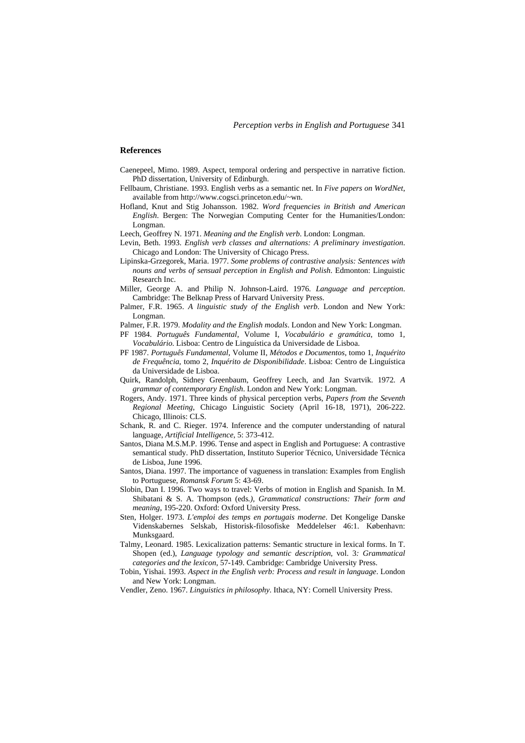#### **References**

- Caenepeel, Mimo. 1989. Aspect, temporal ordering and perspective in narrative fiction. PhD dissertation, University of Edinburgh.
- Fellbaum, Christiane. 1993. English verbs as a semantic net. In *Five papers on WordNet*, available from http://www.cogsci.princeton.edu/~wn.
- Hofland, Knut and Stig Johansson. 1982. *Word frequencies in British and American English*. Bergen: The Norwegian Computing Center for the Humanities/London: Longman.
- Leech, Geoffrey N. 1971. *Meaning and the English verb*. London: Longman.
- Levin, Beth. 1993. *English verb classes and alternations: A preliminary investigation*. Chicago and London: The University of Chicago Press.
- Lipinska-Grzegorek, Maria. 1977. *Some problems of contrastive analysis: Sentences with nouns and verbs of sensual perception in English and Polish*. Edmonton: Linguistic Research Inc.
- Miller, George A. and Philip N. Johnson-Laird. 1976. *Language and perception*. Cambridge: The Belknap Press of Harvard University Press.
- Palmer, F.R. 1965. *A linguistic study of the English verb*. London and New York: Longman.
- Palmer, F.R. 1979. *Modality and the English modals*. London and New York: Longman.
- PF 1984. *Português Fundamental*, Volume I, *Vocabulário e gramática*, tomo 1, *Vocabulário*. Lisboa: Centro de Linguística da Universidade de Lisboa.
- PF 1987. *Português Fundamental*, Volume II, *Métodos e Documentos*, tomo 1, *Inquérito de Frequência*, tomo 2, *Inquérito de Disponibilidade*. Lisboa: Centro de Linguística da Universidade de Lisboa.
- Quirk, Randolph, Sidney Greenbaum, Geoffrey Leech, and Jan Svartvik. 1972*. A grammar of contemporary English*. London and New York: Longman.
- Rogers, Andy. 1971. Three kinds of physical perception verbs*, Papers from the Seventh Regional Meeting*, Chicago Linguistic Society (April 16-18, 1971), 206-222. Chicago, Illinois: CLS.
- Schank, R. and C. Rieger. 1974. Inference and the computer understanding of natural language, *Artificial Intelligence*, 5: 373-412.
- Santos, Diana M.S.M.P. 1996. Tense and aspect in English and Portuguese: A contrastive semantical study. PhD dissertation, Instituto Superior Técnico, Universidade Técnica de Lisboa, June 1996.
- Santos, Diana. 1997. The importance of vagueness in translation: Examples from English to Portuguese, *Romansk Forum* 5: 43-69.
- Slobin, Dan I. 1996. Two ways to travel: Verbs of motion in English and Spanish. In M. Shibatani & S. A. Thompson (eds*.), Grammatical constructions: Their form and meaning*, 195-220. Oxford: Oxford University Press.
- Sten, Holger. 1973. *L'emploi des temps en portugais moderne*. Det Kongelige Danske Videnskabernes Selskab, Historisk-filosofiske Meddelelser 46:1. København: Munksgaard.
- Talmy, Leonard. 1985. Lexicalization patterns: Semantic structure in lexical forms. In T. Shopen (ed.), *Language typology and semantic description*, vol. 3*: Grammatical categories and the lexicon*, 57-149. Cambridge: Cambridge University Press.
- Tobin, Yishai. 1993. *Aspect in the English verb: Process and result in language*. London and New York: Longman.
- Vendler, Zeno. 1967. *Linguistics in philosophy*. Ithaca, NY: Cornell University Press.